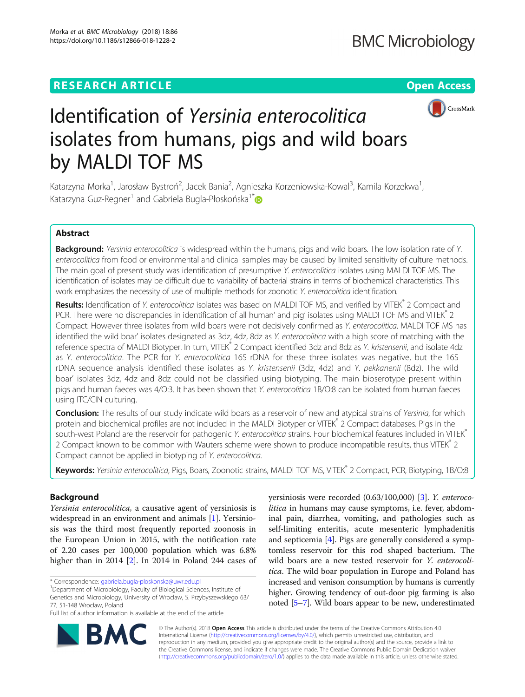# **RESEARCH ARTICLE External Structure of the Community Community Community Community Community Community Community**



# Identification of Yersinia enterocolitica isolates from humans, pigs and wild boars by MALDI TOF MS

Katarzyna Morka<sup>1</sup>, Jarosław Bystroń<sup>2</sup>, Jacek Bania<sup>2</sup>, Agnieszka Korzeniowska-Kowal<sup>3</sup>, Kamila Korzekwa<sup>1</sup> , Katarzyna Guz-Regner<sup>1</sup> and Gabriela Bugla-Płoskońska<sup>1\*</sup>

# Abstract

Background: Yersinia enterocolitica is widespread within the humans, pigs and wild boars. The low isolation rate of Y. enterocolitica from food or environmental and clinical samples may be caused by limited sensitivity of culture methods. The main goal of present study was identification of presumptive Y. enterocolitica isolates using MALDI TOF MS. The identification of isolates may be difficult due to variability of bacterial strains in terms of biochemical characteristics. This work emphasizes the necessity of use of multiple methods for zoonotic Y. enterocolitica identification.

Results: Identification of Y. enterocolitica isolates was based on MALDI TOF MS, and verified by VITEK® 2 Compact and PCR. There were no discrepancies in identification of all human' and pig' isolates using MALDI TOF MS and VITEK<sup>®</sup> 2 Compact. However three isolates from wild boars were not decisively confirmed as Y. enterocolitica. MALDI TOF MS has identified the wild boar' isolates designated as 3dz, 4dz, 8dz as Y. enterocolitica with a high score of matching with the reference spectra of MALDI Biotyper. In turn, VITEK® 2 Compact identified 3dz and 8dz as Y. kristensenii, and isolate 4dz as Y. enterocolitica. The PCR for Y. enterocolitica 16S rDNA for these three isolates was negative, but the 16S rDNA sequence analysis identified these isolates as Y. kristensenii (3dz, 4dz) and Y. pekkanenii (8dz). The wild boar' isolates 3dz, 4dz and 8dz could not be classified using biotyping. The main bioserotype present within pigs and human faeces was 4/O:3. It has been shown that Y. enterocolitica 1B/O:8 can be isolated from human faeces using ITC/CIN culturing.

Conclusion: The results of our study indicate wild boars as a reservoir of new and atypical strains of Yersinia, for which protein and biochemical profiles are not included in the MALDI Biotyper or VITEK® 2 Compact databases. Pigs in the south-west Poland are the reservoir for pathogenic Y. enterocolitica strains. Four biochemical features included in VITEK® 2 Compact known to be common with Wauters scheme were shown to produce incompatible results, thus VITEK<sup>®</sup> 2 Compact cannot be applied in biotyping of Y. enterocolitica.

Keywords: Yersinia enterocolitica, Pigs, Boars, Zoonotic strains, MALDI TOF MS, VITEK® 2 Compact, PCR, Biotyping, 1B/O:8

# Background

Yersinia enterocolitica, a causative agent of yersiniosis is widespread in an environment and animals [\[1\]](#page-8-0). Yersiniosis was the third most frequently reported zoonosis in the European Union in 2015, with the notification rate of 2.20 cases per 100,000 population which was 6.8% higher than in 2014 [\[2](#page-8-0)]. In 2014 in Poland 244 cases of yersiniosis were recorded (0.63/100,000) [[3\]](#page-8-0). Y. enterocolitica in humans may cause symptoms, i.e. fever, abdominal pain, diarrhea, vomiting, and pathologies such as self-limiting enteritis, acute mesenteric lymphadenitis and septicemia [[4\]](#page-8-0). Pigs are generally considered a symptomless reservoir for this rod shaped bacterium. The wild boars are a new tested reservoir for Y. enterocolitica. The wild boar population in Europe and Poland has increased and venison consumption by humans is currently higher. Growing tendency of out-door pig farming is also noted [\[5](#page-8-0)–[7](#page-8-0)]. Wild boars appear to be new, underestimated



© The Author(s). 2018 Open Access This article is distributed under the terms of the Creative Commons Attribution 4.0 International License [\(http://creativecommons.org/licenses/by/4.0/](http://creativecommons.org/licenses/by/4.0/)), which permits unrestricted use, distribution, and reproduction in any medium, provided you give appropriate credit to the original author(s) and the source, provide a link to the Creative Commons license, and indicate if changes were made. The Creative Commons Public Domain Dedication waiver [\(http://creativecommons.org/publicdomain/zero/1.0/](http://creativecommons.org/publicdomain/zero/1.0/)) applies to the data made available in this article, unless otherwise stated.

<sup>\*</sup> Correspondence: [gabriela.bugla-ploskonska@uwr.edu.pl](mailto:gabriela.bugla-ploskonska@uwr.edu.pl) <sup>1</sup>

<sup>&</sup>lt;sup>1</sup>Department of Microbiology, Faculty of Biological Sciences, Institute of Genetics and Microbiology, University of Wroclaw, S. Przybyszewskiego 63/ 77, 51-148 Wrocław, Poland

Full list of author information is available at the end of the article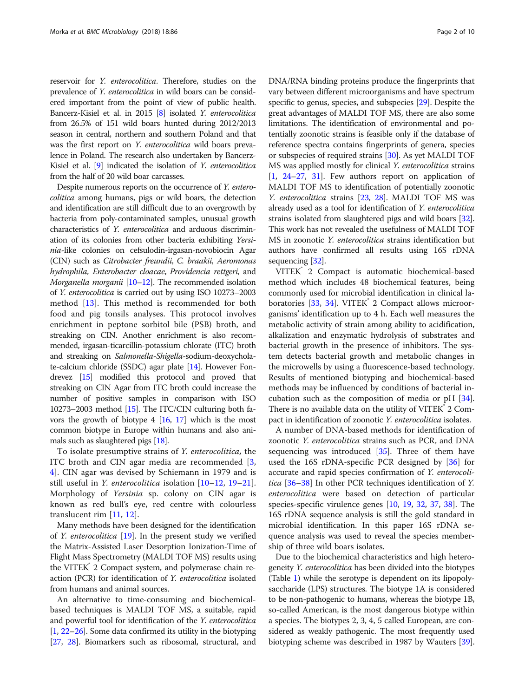reservoir for Y. enterocolitica. Therefore, studies on the prevalence of Y. enterocolitica in wild boars can be considered important from the point of view of public health. Bancerz-Kisiel et al. in 2015 [\[8\]](#page-8-0) isolated *Y. enterocolitica* from 26.5% of 151 wild boars hunted during 2012/2013 season in central, northern and southern Poland and that was the first report on Y. enterocolitica wild boars prevalence in Poland. The research also undertaken by Bancerz-Kisiel et al. [\[9](#page-8-0)] indicated the isolation of Y. enterocolitica from the half of 20 wild boar carcasses.

Despite numerous reports on the occurrence of Y. enterocolitica among humans, pigs or wild boars, the detection and identification are still difficult due to an overgrowth by bacteria from poly-contaminated samples, unusual growth characteristics of Y. enterocolitica and arduous discrimination of its colonies from other bacteria exhibiting Yersinia-like colonies on cefsulodin-irgasan-novobiocin Agar (CIN) such as Citrobacter freundii, C. braakii, Aeromonas hydrophila, Enterobacter cloacae, Providencia rettgeri, and Morganella morganii [\[10](#page-8-0)–[12\]](#page-8-0). The recommended isolation of Y. enterocolitica is carried out by using ISO 10273–2003 method [[13\]](#page-8-0). This method is recommended for both food and pig tonsils analyses. This protocol involves enrichment in peptone sorbitol bile (PSB) broth, and streaking on CIN. Another enrichment is also recommended, irgasan-ticarcillin-potassium chlorate (ITC) broth and streaking on Salmonella-Shigella-sodium-deoxycholate-calcium chloride (SSDC) agar plate [\[14](#page-8-0)]. However Fondrevez [\[15](#page-8-0)] modified this protocol and proved that streaking on CIN Agar from ITC broth could increase the number of positive samples in comparison with ISO 10273–2003 method [[15](#page-8-0)]. The ITC/CIN culturing both favors the growth of biotype 4 [\[16,](#page-8-0) [17\]](#page-8-0) which is the most common biotype in Europe within humans and also animals such as slaughtered pigs [\[18\]](#page-8-0).

To isolate presumptive strains of Y. enterocolitica, the ITC broth and CIN agar media are recommended [\[3](#page-8-0), [4\]](#page-8-0). CIN agar was devised by Schiemann in 1979 and is still useful in Y. enterocolitica isolation [\[10](#page-8-0)–[12](#page-8-0), [19](#page-8-0)–[21](#page-8-0)]. Morphology of Yersinia sp. colony on CIN agar is known as red bull's eye, red centre with colourless translucent rim [\[11](#page-8-0), [12](#page-8-0)].

Many methods have been designed for the identification of Y. enterocolitica [[19](#page-8-0)]. In the present study we verified the Matrix-Assisted Laser Desorption Ionization-Time of Flight Mass Spectrometry (MALDI TOF MS) results using the VITEK 2 Compact system, and polymerase chain reaction (PCR) for identification of Y. enterocolitica isolated from humans and animal sources.

An alternative to time-consuming and biochemicalbased techniques is MALDI TOF MS, a suitable, rapid and powerful tool for identification of the Y. enterocolitica [[1,](#page-8-0) [22](#page-8-0)–[26](#page-8-0)]. Some data confirmed its utility in the biotyping [[27](#page-8-0), [28](#page-8-0)]. Biomarkers such as ribosomal, structural, and DNA/RNA binding proteins produce the fingerprints that vary between different microorganisms and have spectrum specific to genus, species, and subspecies [\[29\]](#page-8-0). Despite the great advantages of MALDI TOF MS, there are also some limitations. The identification of environmental and potentially zoonotic strains is feasible only if the database of reference spectra contains fingerprints of genera, species or subspecies of required strains [[30](#page-8-0)]. As yet MALDI TOF MS was applied mostly for clinical Y. enterocolitica strains [[1,](#page-8-0) [24](#page-8-0)–[27,](#page-8-0) [31\]](#page-8-0). Few authors report on application of MALDI TOF MS to identification of potentially zoonotic Y. enterocolitica strains [[23,](#page-8-0) [28\]](#page-8-0). MALDI TOF MS was already used as a tool for identification of Y. enterocolitica strains isolated from slaughtered pigs and wild boars [[32](#page-8-0)]. This work has not revealed the usefulness of MALDI TOF MS in zoonotic Y. enterocolitica strains identification but authors have confirmed all results using 16S rDNA sequencing [\[32\]](#page-8-0).

VITEK® 2 Compact is automatic biochemical-based method which includes 48 biochemical features, being commonly used for microbial identification in clinical laboratories  $[33, 34]$  $[33, 34]$  $[33, 34]$  $[33, 34]$ . VITEK $\degree$  2 Compact allows microorganisms' identification up to 4 h. Each well measures the metabolic activity of strain among ability to acidification, alkalization and enzymatic hydrolysis of substrates and bacterial growth in the presence of inhibitors. The system detects bacterial growth and metabolic changes in the microwells by using a fluorescence-based technology. Results of mentioned biotyping and biochemical-based methods may be influenced by conditions of bacterial incubation such as the composition of media or pH [\[34](#page-9-0)]. There is no available data on the utility of VITEK<sup>°</sup> 2 Compact in identification of zoonotic Y. enterocolitica isolates.

A number of DNA-based methods for identification of zoonotic Y. enterocolitica strains such as PCR, and DNA sequencing was introduced  $[35]$  $[35]$  $[35]$ . Three of them have used the 16S rDNA-specific PCR designed by [\[36](#page-9-0)] for accurate and rapid species confirmation of Y. enterocolitica [\[36](#page-9-0)–[38\]](#page-9-0) In other PCR techniques identification of Y. enterocolitica were based on detection of particular species-specific virulence genes [\[10](#page-8-0), [19,](#page-8-0) [32](#page-8-0), [37,](#page-9-0) [38\]](#page-9-0). The 16S rDNA sequence analysis is still the gold standard in microbial identification. In this paper 16S rDNA sequence analysis was used to reveal the species membership of three wild boars isolates.

Due to the biochemical characteristics and high heterogeneity Y. enterocolitica has been divided into the biotypes (Table [1\)](#page-2-0) while the serotype is dependent on its lipopolysaccharide (LPS) structures. The biotype 1A is considered to be non-pathogenic to humans, whereas the biotype 1B, so-called American, is the most dangerous biotype within a species. The biotypes 2, 3, 4, 5 called European, are considered as weakly pathogenic. The most frequently used biotyping scheme was described in 1987 by Wauters [[39](#page-9-0)].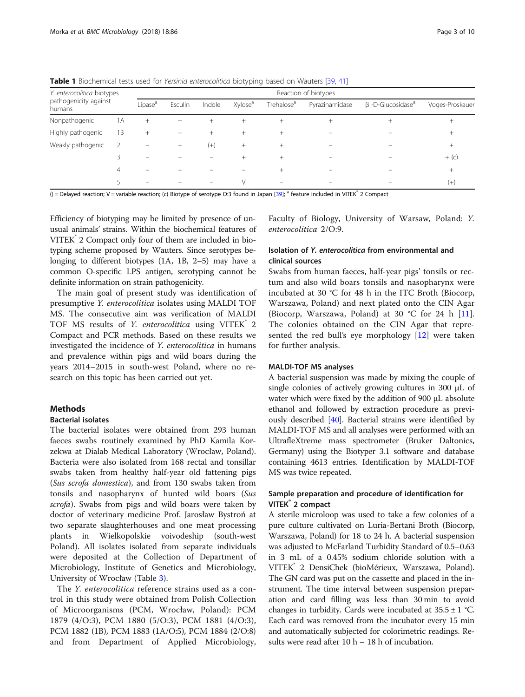| Y. enterocolitica biotypes<br>pathogenicity against<br>humans |    | Reaction of biotypes |         |          |                     |                        |                |                                     |                 |
|---------------------------------------------------------------|----|----------------------|---------|----------|---------------------|------------------------|----------------|-------------------------------------|-----------------|
|                                                               |    | Lipase <sup>a</sup>  | Esculin | Indole   | Xylose <sup>a</sup> | Trehalose <sup>a</sup> | Pyrazinamidase | $\beta$ -D-Glucosidase <sup>a</sup> | Voges-Proskauer |
| Nonpathogenic                                                 | 1А | $+$                  | $^{+}$  | $^{+}$   |                     | $^{+}$                 | $^{+}$         |                                     | $\pm$           |
| Highly pathogenic                                             | 1B | $^{+}$               |         | $^{+}$   | $^{+}$              | $^{+}$                 |                |                                     | $^{+}$          |
| Weakly pathogenic                                             | 2  |                      |         | $^{(+)}$ | $^{+}$              | $^{+}$                 |                |                                     | $^{+}$          |
|                                                               |    |                      |         |          |                     |                        |                |                                     | $+$ (c)         |
|                                                               | 4  |                      |         |          |                     |                        |                |                                     | $^{+}$          |
|                                                               |    |                      |         |          | V                   |                        |                |                                     | $(+)$           |

<span id="page-2-0"></span>**Table 1** Biochemical tests used for Yersinia enterocolitica biotyping based on Wauters [\[39](#page-9-0), [41\]](#page-9-0)

 $()$  = Delayed reaction; V = variable reaction; (c) Biotype of serotype O:3 found in Japan [\[39](#page-9-0)];  $a$  feature included in VITEK $a$  2 Compact

Efficiency of biotyping may be limited by presence of unusual animals' strains. Within the biochemical features of VITEK<sup>®</sup> 2 Compact only four of them are included in biotyping scheme proposed by Wauters. Since serotypes belonging to different biotypes (1A, 1B, 2–5) may have a common O-specific LPS antigen, serotyping cannot be definite information on strain pathogenicity.

The main goal of present study was identification of presumptive Y. enterocolitica isolates using MALDI TOF MS. The consecutive aim was verification of MALDI TOF MS results of Y. enterocolitica using VITEK<sup>n</sup> 2 Compact and PCR methods. Based on these results we investigated the incidence of Y. enterocolitica in humans and prevalence within pigs and wild boars during the years 2014–2015 in south-west Poland, where no research on this topic has been carried out yet.

# Methods

# Bacterial isolates

The bacterial isolates were obtained from 293 human faeces swabs routinely examined by PhD Kamila Korzekwa at Dialab Medical Laboratory (Wrocław, Poland). Bacteria were also isolated from 168 rectal and tonsillar swabs taken from healthy half-year old fattening pigs (Sus scrofa domestica), and from 130 swabs taken from tonsils and nasopharynx of hunted wild boars (Sus scrofa). Swabs from pigs and wild boars were taken by doctor of veterinary medicine Prof. Jarosław Bystroń at two separate slaughterhouses and one meat processing plants in Wielkopolskie voivodeship (south-west Poland). All isolates isolated from separate individuals were deposited at the Collection of Department of Microbiology, Institute of Genetics and Microbiology, University of Wrocław (Table [3](#page-5-0)).

The Y. enterocolitica reference strains used as a control in this study were obtained from Polish Collection of Microorganisms (PCM, Wrocław, Poland): PCM 1879 (4/O:3), PCM 1880 (5/O:3), PCM 1881 (4/O:3), PCM 1882 (1B), PCM 1883 (1A/O:5), PCM 1884 (2/O:8) and from Department of Applied Microbiology, Faculty of Biology, University of Warsaw, Poland: Y. enterocolitica 2/O:9.

# Isolation of Y. enterocolitica from environmental and clinical sources

Swabs from human faeces, half-year pigs' tonsils or rectum and also wild boars tonsils and nasopharynx were incubated at 30 °C for 48 h in the ITC Broth (Biocorp, Warszawa, Poland) and next plated onto the CIN Agar (Biocorp, Warszawa, Poland) at 30 °C for 24 h [\[11](#page-8-0)]. The colonies obtained on the CIN Agar that represented the red bull's eye morphology  $[12]$  $[12]$  were taken for further analysis.

#### MALDI-TOF MS analyses

A bacterial suspension was made by mixing the couple of single colonies of actively growing cultures in 300 μL of water which were fixed by the addition of 900 μL absolute ethanol and followed by extraction procedure as previously described [\[40\]](#page-9-0). Bacterial strains were identified by MALDI-TOF MS and all analyses were performed with an UltrafleXtreme mass spectrometer (Bruker Daltonics, Germany) using the Biotyper 3.1 software and database containing 4613 entries. Identification by MALDI-TOF MS was twice repeated.

# Sample preparation and procedure of identification for VITEK<sup>®</sup> 2 compact

A sterile microloop was used to take a few colonies of a pure culture cultivated on Luria-Bertani Broth (Biocorp, Warszawa, Poland) for 18 to 24 h. A bacterial suspension was adjusted to McFarland Turbidity Standard of 0.5–0.63 in 3 mL of a 0.45% sodium chloride solution with a VITEK® 2 DensiChek (bioMérieux, Warszawa, Poland). The GN card was put on the cassette and placed in the instrument. The time interval between suspension preparation and card filling was less than 30 min to avoid changes in turbidity. Cards were incubated at  $35.5 \pm 1$  °C. Each card was removed from the incubator every 15 min and automatically subjected for colorimetric readings. Results were read after 10 h – 18 h of incubation.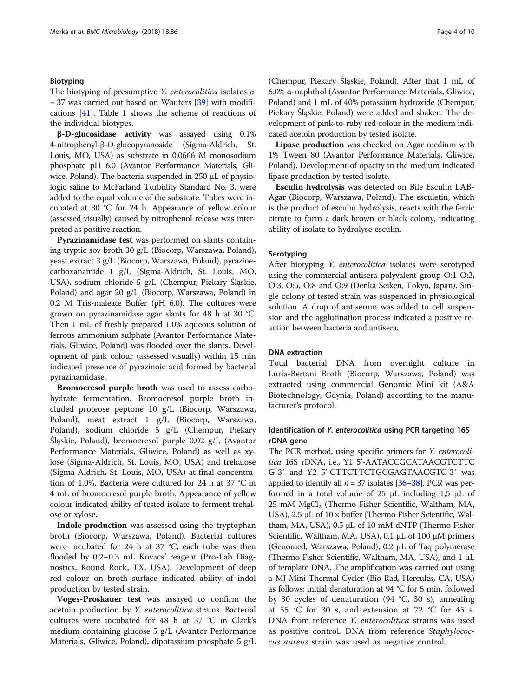#### Biotyping

# The biotyping of presumptive *Y. enterocolitica* isolates  $n$  $= 37$  was carried out based on Wauters [[39](#page-9-0)] with modifications [[41\]](#page-9-0). Table [1](#page-2-0) shows the scheme of reactions of the individual biotypes.

β-D-glucosidase activity was assayed using 0.1% 4-nitrophenyl-β-D-glucopyranoside (Sigma-Aldrich, St. Louis, MO, USA) as substrate in 0.0666 M monosodium phosphate pH 6.0 (Avantor Performance Materials, Gliwice, Poland). The bacteria suspended in 250 μL of physiologic saline to McFarland Turbidity Standard No. 3. were added to the equal volume of the substrate. Tubes were incubated at 30 °C for 24 h. Appearance of yellow colour (assessed visually) caused by nitrophenol release was interpreted as positive reaction.

Pyrazinamidase test was performed on slants containing tryptic soy broth 30 g/L (Biocorp, Warszawa, Poland), yeast extract 3 g/L (Biocorp, Warszawa, Poland), pyrazinecarboxanamide 1 g/L (Sigma-Aldrich, St. Louis, MO, USA), sodium chloride 5 g/L (Chempur, Piekary Śląskie, Poland) and agar 20 g/L (Biocorp, Warszawa, Poland) in 0.2 M Tris-maleate Buffer (pH 6.0). The cultures were grown on pyrazinamidase agar slants for 48 h at 30 °C. Then 1 mL of freshly prepared 1.0% aqueous solution of ferrous ammonium sulphate (Avantor Performance Materials, Gliwice, Poland) was flooded over the slants. Development of pink colour (assessed visually) within 15 min indicated presence of pyrazinoic acid formed by bacterial pyrazinamidase.

Bromocresol purple broth was used to assess carbohydrate fermentation. Bromocresol purple broth included proteose peptone 10 g/L (Biocorp, Warszawa, Poland), meat extract 1 g/L (Biocorp, Warszawa, Poland), sodium chloride 5 g/L (Chempur, Piekary Śląskie, Poland), bromocresol purple 0.02 g/L (Avantor Performance Materials, Gliwice, Poland) as well as xylose (Sigma-Aldrich, St. Louis, MO, USA) and trehalose (Sigma-Aldrich, St. Louis, MO, USA) at final concentration of 1.0%. Bacteria were cultured for 24 h at 37 °C in 4 mL of bromocresol purple broth. Appearance of yellow colour indicated ability of tested isolate to ferment trehalose or xylose.

Indole production was assessed using the tryptophan broth (Biocorp, Warszawa, Poland). Bacterial cultures were incubated for 24 h at 37 °C, each tube was then flooded by 0.2–0.3 mL Kovacs' reagent (Pro-Lab Diagnostics, Round Rock, TX, USA). Development of deep red colour on broth surface indicated ability of indol production by tested strain.

Voges-Proskauer test was assayed to confirm the acetoin production by Y. enterocolitica strains. Bacterial cultures were incubated for 48 h at 37 °C in Clark's medium containing glucose 5 g/L (Avantor Performance Materials, Gliwice, Poland), dipotassium phosphate 5 g/L

(Chempur, Piekary Śląskie, Poland). After that 1 mL of 6.0% α-naphthol (Avantor Performance Materials, Gliwice, Poland) and 1 mL of 40% potassium hydroxide (Chempur, Piekary Śląskie, Poland) were added and shaken. The development of pink-to-ruby red colour in the medium indicated acetoin production by tested isolate.

Lipase production was checked on Agar medium with 1% Tween 80 (Avantor Performance Materials, Gliwice, Poland). Development of opacity in the medium indicated lipase production by tested isolate.

Esculin hydrolysis was detected on Bile Esculin LAB-Agar (Biocorp, Warszawa, Poland). The esculetin, which is the product of esculin hydrolysis, reacts with the ferric citrate to form a dark brown or black colony, indicating ability of isolate to hydrolyse esculin.

#### Serotyping

After biotyping Y. enterocolitica isolates were serotyped using the commercial antisera polyvalent group O:1 O:2, O:3, O:5, O:8 and O:9 (Denka Seiken, Tokyo, Japan). Single colony of tested strain was suspended in physiological solution. A drop of antiserum was added to cell suspension and the agglutination process indicated a positive reaction between bacteria and antisera.

#### DNA extraction

Total bacterial DNA from overnight culture in Luria-Bertani Broth (Biocorp, Warszawa, Poland) was extracted using commercial Genomic Mini kit (A&A Biotechnology, Gdynia, Poland) according to the manufacturer's protocol.

# Identification of Y. enterocolitica using PCR targeting 16S rDNA gene

The PCR method, using specific primers for *Y. enterocoli*tica 16S rDNA, i.e., Y1 5'-AATACCGCATAACGTCTTC G-3′ and Y2 5'-CTTCTTCTGCGAGTAACGTC-3′ was applied to identify all  $n = 37$  isolates [[36](#page-9-0)–[38\]](#page-9-0). PCR was performed in a total volume of 25 μL including 1,5 μL of 25 mM MgCl<sub>2</sub> (Thermo Fisher Scientific, Waltham, MA, USA),  $2.5 \mu L$  of  $10 \times$  buffer (Thermo Fisher Scientific, Waltham, MA, USA), 0.5 μL of 10 mM dNTP (Thermo Fisher Scientific, Waltham, MA, USA), 0.1 μL of 100 μM primers (Genomed, Warszawa, Poland), 0.2 μL of Taq polymerase (Thermo Fisher Scientific, Waltham, MA, USA), and 1 μL of template DNA. The amplification was carried out using a MJ Mini Thermal Cycler (Bio-Rad, Hercules, CA, USA) as follows: initial denaturation at 94 °C for 5 min, followed by 30 cycles of denaturation (94 °C, 30 s), annealing at 55 °C for 30 s, and extension at 72 °C for 45 s. DNA from reference Y. enterocolitica strains was used as positive control. DNA from reference Staphylococcus aureus strain was used as negative control.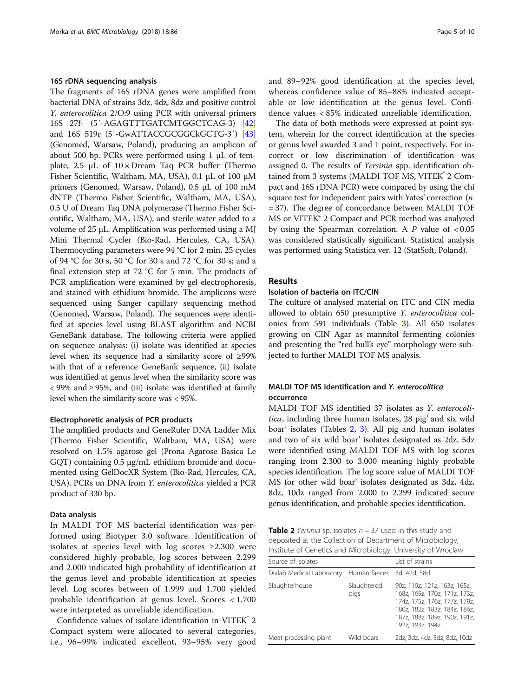#### 16S rDNA sequencing analysis

The fragments of 16S rDNA genes were amplified from bacterial DNA of strains 3dz, 4dz, 8dz and positive control Y. enterocolitica 2/O:9 using PCR with universal primers 16S 27f- (5′-AGAGTTTGATCMTGGCTCAG-3) [[42](#page-9-0)] and 16S 519r (5′-GwATTACCGCGGCkGCTG-3′) [[43](#page-9-0)] (Genomed, Warsaw, Poland), producing an amplicon of about 500 bp. PCRs were performed using 1 μL of template,  $2.5 \mu L$  of  $10 \times$  Dream Taq PCR buffer (Thermo Fisher Scientific, Waltham, MA, USA), 0.1 μL of 100 μM primers (Genomed, Warsaw, Poland), 0.5 μL of 100 mM dNTP (Thermo Fisher Scientific, Waltham, MA, USA), 0.5 U of Dream Taq DNA polymerase (Thermo Fisher Scientific, Waltham, MA, USA), and sterile water added to a volume of 25 μL. Amplification was performed using a MJ Mini Thermal Cycler (Bio-Rad, Hercules, CA, USA). Thermocycling parameters were 94 °C for 2 min, 25 cycles of 94 °C for 30 s, 50 °C for 30 s and 72 °C for 30 s; and a final extension step at 72 °C for 5 min. The products of PCR amplification were examined by gel electrophoresis, and stained with ethidium bromide. The amplicons were sequenced using Sanger capillary sequencing method (Genomed, Warsaw, Poland). The sequences were identified at species level using BLAST algorithm and NCBI GeneBank database. The following criteria were applied on sequence analysis: (i) isolate was identified at species level when its sequence had a similarity score of ≥99% with that of a reference GeneBank sequence, (ii) isolate was identified at genus level when the similarity score was < 99% and ≥ 95%, and (iii) isolate was identified at family level when the similarity score was < 95%.

#### Electrophoretic analysis of PCR products

The amplified products and GeneRuler DNA Ladder Mix (Thermo Fisher Scientific, Waltham, MA, USA) were resolved on 1.5% agarose gel (Prona Agarose Basica Le GQT) containing 0.5 μg/mL ethidium bromide and documented using GelDocXR System (Bio-Rad, Hercules, CA, USA). PCRs on DNA from Y. enterocolitica yielded a PCR product of 330 bp.

#### Data analysis

In MALDI TOF MS bacterial identification was performed using Biotyper 3.0 software. Identification of isolates at species level with log scores ≥2.300 were considered highly probable, log scores between 2.299 and 2.000 indicated high probability of identification at the genus level and probable identification at species level. Log scores between of 1.999 and 1.700 yielded probable identification at genus level. Scores < 1.700 were interpreted as unreliable identification.

Confidence values of isolate identification in VITEK 2 Compact system were allocated to several categories, i.e., 96–99% indicated excellent, 93–95% very good and 89–92% good identification at the species level, whereas confidence value of 85–88% indicated acceptable or low identification at the genus level. Confidence values < 85% indicated unreliable identification.

The data of both methods were expressed at point system, wherein for the correct identification at the species or genus level awarded 3 and 1 point, respectively. For incorrect or low discrimination of identification was assigned 0. The results of Yersinia spp. identification obtained from 3 systems (MALDI TOF MS, VITEK<sup>°</sup> 2 Compact and 16S rDNA PCR) were compared by using the chi square test for independent pairs with Yates' correction (*n* = 37). The degree of concordance between MALDI TOF MS or VITEK® 2 Compact and PCR method was analyzed by using the Spearman correlation. A  $P$  value of  $<0.05$ was considered statistically significant. Statistical analysis was performed using Statistica ver. 12 (StatSoft, Poland).

#### Results

#### Isolation of bacteria on ITC/CIN

The culture of analysed material on ITC and CIN media allowed to obtain 650 presumptive Y. enterocolitica colonies from 591 individuals (Table [3\)](#page-5-0). All 650 isolates growing on CIN Agar as mannitol fermenting colonies and presenting the "red bull's eye" morphology were subjected to further MALDI TOF MS analysis.

# MALDI TOF MS identification and Y. enterocolitica occurrence

MALDI TOF MS identified 37 isolates as Y. enterocolitica, including three human isolates, 28 pig' and six wild boar' isolates (Tables 2, [3](#page-5-0)). All pig and human isolates and two of six wild boar' isolates designated as 2dz, 5dz were identified using MALDI TOF MS with log scores ranging from 2.300 to 3.000 meaning highly probable species identification. The log score value of MALDI TOF MS for other wild boar' isolates designated as 3dz, 4dz, 8dz, 10dz ranged from 2.000 to 2.299 indicated secure genus identification, and probable species identification.

**Table 2** Yersinia sp. isolates  $n = 37$  used in this study and deposited at the Collection of Department of Microbiology, Institute of Genetics and Microbiology, University of Wrocław

| Source of isolates                                  |                     | List of strains                                                                                                                                                                      |  |  |
|-----------------------------------------------------|---------------------|--------------------------------------------------------------------------------------------------------------------------------------------------------------------------------------|--|--|
| Dialab Medical Laboratory Human faeces 3d, 42d, 58d |                     |                                                                                                                                                                                      |  |  |
| Slaughterhouse                                      | Slaughtered<br>pigs | 90z, 119z, 121z, 163z, 165z,<br>168z, 169z, 170z, 171z, 173z,<br>174z, 175z, 176z, 177z, 179z,<br>180z, 182z, 183z, 184z, 186z,<br>187z, 188z, 189z, 190z, 191z,<br>192z, 193z, 194z |  |  |
| Meat processing plant                               | Wild boars          | 2dz, 3dz, 4dz, 5dz, 8dz, 10dz                                                                                                                                                        |  |  |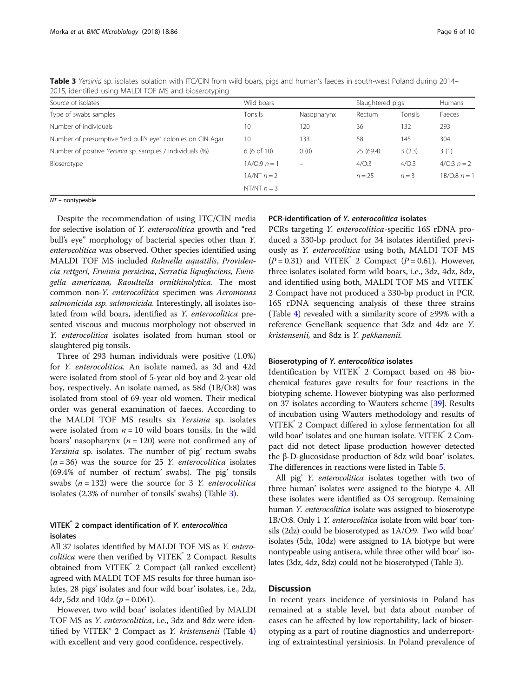| <b>2013, Identified using MALDI TOF MS and Dioserotyping</b> |                       |                          |                  |         |                |
|--------------------------------------------------------------|-----------------------|--------------------------|------------------|---------|----------------|
| Source of isolates                                           | Wild boars            |                          | Slaughtered pigs |         | <b>Humans</b>  |
| Type of swabs samples                                        | Tonsils               | Nasopharynx              | Rectum           | Tonsils | Faeces         |
| Number of individuals                                        | 10                    | 120                      | 36               | 132     | 293            |
| Number of presumptive "red bull's eye" colonies on CIN Agar  | 10                    | 133                      | 58               | 145     | 304            |
| Number of positive Yersinia sp. samples / individuals (%)    | $6(6 \text{ of } 10)$ | 0(0)                     | 25 (69.4)        | 3(2.3)  | 3(1)           |
| Bioserotype                                                  | $1A/O:9 n = 1$        | $\overline{\phantom{0}}$ | 4/O:3            | 4/O:3   | 4/0:3 $n = 2$  |
|                                                              | $1A/NT$ $n = 2$       |                          | $n = 25$         | $n = 3$ | $1B/O:8 n = 1$ |
|                                                              | NT/NT $n = 3$         |                          |                  |         |                |
|                                                              |                       |                          |                  |         |                |

<span id="page-5-0"></span>Table 3 Yersinia sp. isolates isolation with ITC/CIN from wild boars, pigs and human's faeces in south-west Poland during 2014– 2015, identified using MALDI TOF MS and bioserotyping

NT – nontypeable

Despite the recommendation of using ITC/CIN media for selective isolation of Y. enterocolitica growth and "red bull's eye" morphology of bacterial species other than Y. enterocolitica was observed. Other species identified using MALDI TOF MS included Rahnella aquatilis, Providencia rettgeri, Erwinia persicina, Serratia liquefaciens, Ewingella americana, Raoultella ornithinolytica. The most common non-Y. enterocolitica specimen was Aeromonas salmonicida ssp. salmonicida. Interestingly, all isolates isolated from wild boars, identified as Y. enterocolitica presented viscous and mucous morphology not observed in Y. enterocolitica isolates isolated from human stool or slaughtered pig tonsils.

Three of 293 human individuals were positive (1.0%) for Y. enterocolitica. An isolate named, as 3d and 42d were isolated from stool of 5-year old boy and 2-year old boy, respectively. An isolate named, as 58d (1B/O:8) was isolated from stool of 69-year old women. Their medical order was general examination of faeces. According to the MALDI TOF MS results six Yersinia sp. isolates were isolated from  $n = 10$  wild boars tonsils. In the wild boars' nasopharynx ( $n = 120$ ) were not confirmed any of Yersinia sp. isolates. The number of pig' rectum swabs  $(n = 36)$  was the source for 25 Y. enterocolitica isolates (69.4% of number of rectum' swabs). The pig' tonsils swabs  $(n = 132)$  were the source for 3 Y. enterocolitica isolates (2.3% of number of tonsils' swabs) (Table 3).

# VITEK<sup>®</sup> 2 compact identification of Y. enterocolitica isolates

All 37 isolates identified by MALDI TOF MS as Y. enterocolitica were then verified by VITEK<sup>®</sup> 2 Compact. Results obtained from VITEK<sup>®</sup> 2 Compact (all ranked excellent) agreed with MALDI TOF MS results for three human isolates, 28 pigs' isolates and four wild boar' isolates, i.e., 2dz, 4dz, 5dz and 10dz  $(p = 0.061)$ .

However, two wild boar' isolates identified by MALDI TOF MS as Y. enterocolitica, i.e., 3dz and 8dz were identified by VITEK® 2 Compact as *Y. kristensenii* (Table  $4$ ) with excellent and very good confidence, respectively.

#### PCR-identification of Y. enterocolitica isolates

PCRs targeting Y. enterocolitica-specific 16S rDNA produced a 330-bp product for 34 isolates identified previously as Y. enterocolitica using both, MALDI TOF MS  $(P = 0.31)$  and VITEK<sup>°</sup> 2 Compact  $(P = 0.61)$ . However, three isolates isolated form wild boars, i.e., 3dz, 4dz, 8dz, and identified using both, MALDI TOF MS and VITEK® 2 Compact have not produced a 330-bp product in PCR. 16S rDNA sequencing analysis of these three strains (Table [4](#page-6-0)) revealed with a similarity score of ≥99% with a reference GeneBank sequence that 3dz and 4dz are Y. kristensenii, and 8dz is Y. pekkanenii.

#### Bioserotyping of Y. enterocolitica isolates

Identification by VITEK<sup>®</sup> 2 Compact based on 48 biochemical features gave results for four reactions in the biotyping scheme. However biotyping was also performed on 37 isolates according to Wauters scheme [[39](#page-9-0)]. Results of incubation using Wauters methodology and results of VITEK® 2 Compact differed in xylose fermentation for all wild boar' isolates and one human isolate. VITEK<sup>°</sup> 2 Compact did not detect lipase production however detected the β-D-glucosidase production of 8dz wild boar' isolates. The differences in reactions were listed in Table [5](#page-6-0).

All pig' Y. enterocolitica isolates together with two of three human' isolates were assigned to the biotype 4. All these isolates were identified as O3 serogroup. Remaining human Y. enterocolitica isolate was assigned to bioserotype 1B/O:8. Only 1 Y. enterocolitica isolate from wild boar' tonsils (2dz) could be bioserotyped as 1A/O:9. Two wild boar' isolates (5dz, 10dz) were assigned to 1A biotype but were nontypeable using antisera, while three other wild boar' isolates (3dz, 4dz, 8dz) could not be bioserotyped (Table 3).

#### Discussion

In recent years incidence of yersiniosis in Poland has remained at a stable level, but data about number of cases can be affected by low reportability, lack of bioserotyping as a part of routine diagnostics and underreporting of extraintestinal yersiniosis. In Poland prevalence of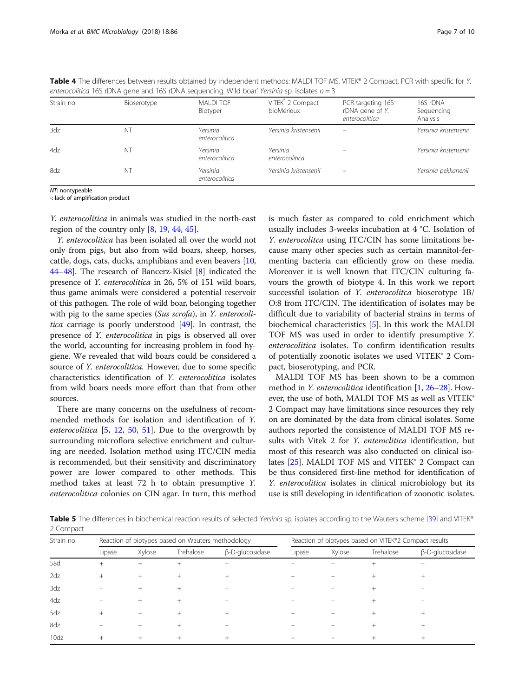<span id="page-6-0"></span>

|  | Table 4 The differences between results obtained by independent methods: MALDI TOF MS, VITEK® 2 Compact, PCR with specific for Y. |  |  |
|--|-----------------------------------------------------------------------------------------------------------------------------------|--|--|
|  | enterocolitica 16S rDNA gene and 16S rDNA sequencing. Wild boar' Yersinia sp. isolates $n = 3$                                    |  |  |

| Strain no.      | Bioserotype | <b>MALDI TOF</b><br>Biotyper | VITEK <sup>®</sup> 2 Compact<br>bioMérieux | PCR targeting 16S<br>rDNA gene of Y.<br>enterocolitica | 16S rDNA<br>Sequencing<br>Analysis |
|-----------------|-------------|------------------------------|--------------------------------------------|--------------------------------------------------------|------------------------------------|
| 3 <sub>dz</sub> | N1          | Yersinia<br>enterocolitica   | Yersinia kristensenii                      |                                                        | Yersinia kristensenii              |
| 4dz             | ΝT          | Yersinia<br>enterocolitica   | Yersinia<br>enterocolitica                 |                                                        | Yersinia kristensenii              |
| 8dz             | N1          | Yersinia<br>enterocolitica   | Yersinia kristensenii                      |                                                        | Yersinia pekkanenii                |

NT: nontypeable -: lack of amplification product

Y. enterocolitica in animals was studied in the north-east region of the country only [\[8](#page-8-0), [19](#page-8-0), [44](#page-9-0), [45](#page-9-0)].

Y. enterocolitica has been isolated all over the world not only from pigs, but also from wild boars, sheep, horses, cattle, dogs, cats, ducks, amphibians and even beavers [[10](#page-8-0), [44](#page-9-0)–[48\]](#page-9-0). The research of Bancerz-Kisiel [\[8\]](#page-8-0) indicated the presence of Y. enterocolitica in 26, 5% of 151 wild boars, thus game animals were considered a potential reservoir of this pathogen. The role of wild boar, belonging together with pig to the same species (Sus scrofa), in Y. enterocolitica carriage is poorly understood [\[49\]](#page-9-0). In contrast, the presence of Y. enterocolitica in pigs is observed all over the world, accounting for increasing problem in food hygiene. We revealed that wild boars could be considered a source of *Y. enterocolitica*. However, due to some specific characteristics identification of Y. enterocolitica isolates from wild boars needs more effort than that from other sources.

There are many concerns on the usefulness of recommended methods for isolation and identification of Y. enterocolitica  $[5, 12, 50, 51]$  $[5, 12, 50, 51]$  $[5, 12, 50, 51]$  $[5, 12, 50, 51]$  $[5, 12, 50, 51]$  $[5, 12, 50, 51]$  $[5, 12, 50, 51]$  $[5, 12, 50, 51]$ . Due to the overgrowth by surrounding microflora selective enrichment and culturing are needed. Isolation method using ITC/CIN media is recommended, but their sensitivity and discriminatory power are lower compared to other methods. This method takes at least 72 h to obtain presumptive Y. enterocolitica colonies on CIN agar. In turn, this method is much faster as compared to cold enrichment which usually includes 3-weeks incubation at 4 °C. Isolation of Y. enterocolitca using ITC/CIN has some limitations because many other species such as certain mannitol-fermenting bacteria can efficiently grow on these media. Moreover it is well known that ITC/CIN culturing favours the growth of biotype 4. In this work we report successful isolation of Y. enterocolitca bioserotype 1B/ O:8 from ITC/CIN. The identification of isolates may be difficult due to variability of bacterial strains in terms of biochemical characteristics [[5\]](#page-8-0). In this work the MALDI TOF MS was used in order to identify presumptive Y. enterocolitica isolates. To confirm identification results of potentially zoonotic isolates we used VITEK® 2 Compact, bioserotyping, and PCR.

MALDI TOF MS has been shown to be a common method in Y. enterocolitica identification [\[1](#page-8-0), [26](#page-8-0)–[28\]](#page-8-0). However, the use of both, MALDI TOF MS as well as VITEK® 2 Compact may have limitations since resources they rely on are dominated by the data from clinical isolates. Some authors reported the consistence of MALDI TOF MS results with Vitek 2 for Y. enteroclitica identification, but most of this research was also conducted on clinical iso-lates [\[25\]](#page-8-0). MALDI TOF MS and VITEK® 2 Compact can be thus considered first-line method for identification of Y. enterocolitica isolates in clinical microbiology but its use is still developing in identification of zoonotic isolates.

Table 5 The differences in biochemical reaction results of selected Yersinia sp. isolates according to the Wauters scheme [\[39\]](#page-9-0) and VITEK® 2 Compact

| Strain no. |        | Reaction of biotypes based on Wauters methodology |           |                        |        | Reaction of biotypes based on VITEK®2 Compact results |           |                 |  |
|------------|--------|---------------------------------------------------|-----------|------------------------|--------|-------------------------------------------------------|-----------|-----------------|--|
|            | Lipase | Xylose                                            | Trehalose | $\beta$ -D-glucosidase | Lipase | Xylose                                                | Trehalose | β-D-glucosidase |  |
| 58d        | $+$    | $+$                                               |           |                        |        |                                                       |           |                 |  |
| 2dz        |        |                                                   |           |                        |        |                                                       |           |                 |  |
| 3dz        |        |                                                   |           |                        |        |                                                       |           |                 |  |
| 4dz        |        |                                                   |           |                        |        |                                                       |           |                 |  |
| 5dz        |        |                                                   |           |                        |        |                                                       |           |                 |  |
| 8dz        |        |                                                   |           |                        |        |                                                       |           |                 |  |
| 10dz       |        |                                                   |           |                        |        |                                                       |           |                 |  |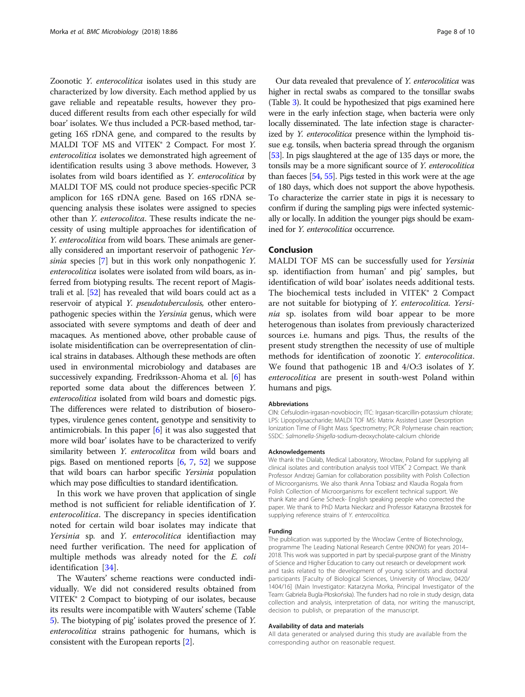Zoonotic Y. enterocolitica isolates used in this study are characterized by low diversity. Each method applied by us gave reliable and repeatable results, however they produced different results from each other especially for wild boar' isolates. We thus included a PCR-based method, targeting 16S rDNA gene, and compared to the results by MALDI TOF MS and VITEK® 2 Compact. For most Y. enterocolitica isolates we demonstrated high agreement of identification results using 3 above methods. However, 3 isolates from wild boars identified as Y. enterocolitica by MALDI TOF MS, could not produce species-specific PCR amplicon for 16S rDNA gene. Based on 16S rDNA sequencing analysis these isolates were assigned to species other than Y. enterocolitca. These results indicate the necessity of using multiple approaches for identification of Y. enterocolitica from wild boars. These animals are generally considered an important reservoir of pathogenic Yersinia species [[7\]](#page-8-0) but in this work only nonpathogenic Y. enterocolitica isolates were isolated from wild boars, as inferred from biotyping results. The recent report of Magistrali et al. [[52](#page-9-0)] has revealed that wild boars could act as a reservoir of atypical Y. pseudotuberculosis, other enteropathogenic species within the Yersinia genus, which were associated with severe symptoms and death of deer and macaques. As mentioned above, other probable cause of isolate misidentification can be overrepresentation of clinical strains in databases. Although these methods are often used in environmental microbiology and databases are successively expanding. Fredriksson-Ahoma et al. [\[6](#page-8-0)] has reported some data about the differences between Y. enterocolitica isolated from wild boars and domestic pigs. The differences were related to distribution of bioserotypes, virulence genes content, genotype and sensitivity to antimicrobials. In this paper [\[6](#page-8-0)] it was also suggested that more wild boar' isolates have to be characterized to verify similarity between Y. enterocolitca from wild boars and pigs. Based on mentioned reports [\[6,](#page-8-0) [7,](#page-8-0) [52\]](#page-9-0) we suppose that wild boars can harbor specific Yersinia population which may pose difficulties to standard identification.

In this work we have proven that application of single method is not sufficient for reliable identification of Y. enterocolitica. The discrepancy in species identification noted for certain wild boar isolates may indicate that Yersinia sp. and Y. enterocolitica identifiaction may need further verification. The need for application of multiple methods was already noted for the E. coli identification [[34\]](#page-9-0).

The Wauters' scheme reactions were conducted individually. We did not considered results obtained from VITEK® 2 Compact to biotyping of our isolates, because its results were incompatible with Wauters' scheme (Table [5\)](#page-6-0). The biotyping of pig' isolates proved the presence of Y. enterocolitica strains pathogenic for humans, which is consistent with the European reports [\[2](#page-8-0)].

Our data revealed that prevalence of Y. enterocolitica was higher in rectal swabs as compared to the tonsillar swabs (Table [3\)](#page-5-0). It could be hypothesized that pigs examined here were in the early infection stage, when bacteria were only locally disseminated. The late infection stage is characterized by Y. enterocolitica presence within the lymphoid tissue e.g. tonsils, when bacteria spread through the organism [[53](#page-9-0)]. In pigs slaughtered at the age of 135 days or more, the tonsils may be a more significant source of Y. enterocolitica than faeces [\[54](#page-9-0), [55\]](#page-9-0). Pigs tested in this work were at the age of 180 days, which does not support the above hypothesis. To characterize the carrier state in pigs it is necessary to confirm if during the sampling pigs were infected systemically or locally. In addition the younger pigs should be examined for Y. enterocolitica occurrence.

# Conclusion

MALDI TOF MS can be successfully used for Yersinia sp. identifiaction from human' and pig' samples, but identification of wild boar' isolates needs additional tests. The biochemical tests included in VITEK® 2 Compact are not suitable for biotyping of Y. enterocolitica. Yersinia sp. isolates from wild boar appear to be more heterogenous than isolates from previously characterized sources i.e. humans and pigs. Thus, the results of the present study strengthen the necessity of use of multiple methods for identification of zoonotic Y. enterocolitica. We found that pathogenic 1B and 4/O:3 isolates of Y. enterocolitica are present in south-west Poland within humans and pigs.

#### Abbreviations

CIN: Cefsulodin-irgasan-novobiocin; ITC: Irgasan-ticarcillin-potassium chlorate; LPS: Lipopolysaccharide; MALDI TOF MS: Matrix Assisted Laser Desorption Ionization Time of Flight Mass Spectrometry; PCR: Polymerase chain reaction; SSDC: Salmonella-Shigella-sodium-deoxycholate-calcium chloride

#### Acknowledgements

We thank the Dialab, Medical Laboratory, Wrocław, Poland for supplying all clinical isolates and contribution analysis tool VITEK® 2 Compact. We thank Professor Andrzej Gamian for collaboration possibility with Polish Collection of Microorganisms. We also thank Anna Tobiasz and Klaudia Rogala from Polish Collection of Microorganisms for excellent technical support. We thank Kate and Gene Scheck- English speaking people who corrected the paper. We thank to PhD Marta Nieckarz and Professor Katarzyna Brzostek for supplying reference strains of Y. enterocolitica.

#### Funding

The publication was supported by the Wroclaw Centre of Biotechnology, programme The Leading National Research Centre (KNOW) for years 2014– 2018. This work was supported in part by special-purpose grant of the Ministry of Science and Higher Education to carry out research or development work and tasks related to the development of young scientists and doctoral participants [Faculty of Biological Sciences, University of Wroclaw, 0420/ 1404/16] (Main Investigator: Katarzyna Morka, Principal Investigator of the Team: Gabriela Bugla-Płoskońska). The funders had no role in study design, data collection and analysis, interpretation of data, nor writing the manuscript, decision to publish, or preparation of the manuscript.

#### Availability of data and materials

All data generated or analysed during this study are available from the corresponding author on reasonable request.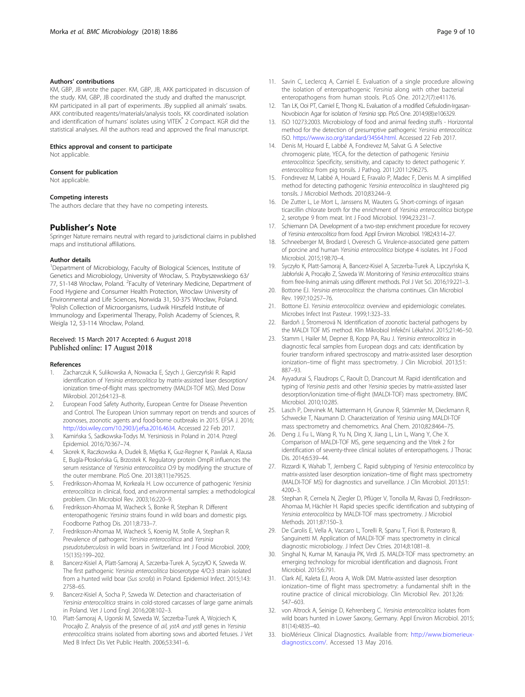#### <span id="page-8-0"></span>Authors' contributions

KM, GBP, JB wrote the paper. KM, GBP, JB, AKK participated in discussion of the study. KM, GBP, JB coordinated the study and drafted the manuscript. KM participated in all part of experiments. JBy supplied all animals' swabs. AKK contributed reagents/materials/analysis tools. KK coordinated isolation and identification of humans' isolates using VITEK® 2 Compact. KGR did the statistical analyses. All the authors read and approved the final manuscript.

#### Ethics approval and consent to participate

Not applicable.

#### Consent for publication

Not applicable.

#### Competing interests

The authors declare that they have no competing interests.

#### Publisher's Note

Springer Nature remains neutral with regard to jurisdictional claims in published maps and institutional affiliations.

#### Author details

<sup>1</sup>Department of Microbiology, Faculty of Biological Sciences, Institute of Genetics and Microbiology, University of Wroclaw, S. Przybyszewskiego 63/ 77, 51-148 Wrocław, Poland. <sup>2</sup> Faculty of Veterinary Medicine, Department of Food Hygiene and Consumer Health Protection, Wroclaw University of Environmental and Life Sciences, Norwida 31, 50-375 Wrocław, Poland. <sup>3</sup> <sup>3</sup>Polish Collection of Microorganisms, Ludwik Hirszfeld Institute of Immunology and Experimental Therapy, Polish Academy of Sciences, R. Weigla 12, 53-114 Wrocław, Poland.

#### Received: 15 March 2017 Accepted: 6 August 2018 Published online: 17 August 2018

#### References

- 1. Zacharczuk K, Sulikowska A, Nowacka E, Szych J, Gierczyński R. Rapid identification of Yersinia enterocolitica by matrix-assisted laser desorption/ ionization time-of-flight mass spectrometry (MALDI-TOF MS). Med Dosw Mikrobiol. 2012;64:123–8.
- 2. European Food Safety Authority, European Centre for Disease Prevention and Control. The European Union summary report on trends and sources of zoonoses, zoonotic agents and food-borne outbreaks in 2015. EFSA J. 2016; <http://doi.wiley.com/10.2903/j.efsa.2016.4634>. Accessed 22 Feb 2017.
- 3. Kamińska S, Sadkowska-Todys M. Yersiniosis in Poland in 2014. Przegl Epidemiol. 2016;70:367–74.
- 4. Skorek K, Raczkowska A, Dudek B, Miętka K, Guz-Regner K, Pawlak A, Klausa E, Bugla-Płoskońska G, Brzostek K. Regulatory protein OmpR influences the serum resistance of Yersinia enterocolitica O:9 by modifying the structure of the outer membrane. PloS One. 2013;8(11):e79525.
- 5. Fredriksson-Ahomaa M, Korkeala H. Low occurrence of pathogenic Yersinia enterocolitica in clinical, food, and environmental samples: a methodological problem. Clin Microbiol Rev. 2003;16:220–9.
- 6. Fredriksson-Ahomaa M, Wacheck S, Bonke R, Stephan R. Different enteropathogenic Yersinia strains found in wild boars and domestic pigs. Foodborne Pathog Dis. 2011;8:733–7.
- 7. Fredriksson-Ahomaa M, Wacheck S, Koenig M, Stolle A, Stephan R. Prevalence of pathogenic Yersinia enterocolitica and Yersinia pseudotuberculosis in wild boars in Switzerland. Int J Food Microbiol. 2009; 15(135):199–202.
- 8. Bancerz-Kisiel A, Platt-Samoraj A, Szczerba-Turek A, SyczyłO K, Szweda W. The first pathogenic Yersinia enterocolitica bioserotype 4/O:3 strain isolated from a hunted wild boar (Sus scrofa) in Poland. Epidemiol Infect. 2015;143: 2758–65.
- Bancerz-Kisiel A, Socha P, Szweda W. Detection and characterisation of Yersinia enterocolitica strains in cold-stored carcasses of large game animals in Poland. Vet J Lond Engl. 2016;208:102–3.
- 10. Platt-Samoraj A, Ugorski M, Szweda W, Szczerba-Turek A, Wojciech K, Procajło Z. Analysis of the presence of ail, ystA and ystB genes in Yersinia enterocolitica strains isolated from aborting sows and aborted fetuses. J Vet Med B Infect Dis Vet Public Health. 2006;53:341–6.
- 11. Savin C, Leclercq A, Carniel E. Evaluation of a single procedure allowing the isolation of enteropathogenic Yersinia along with other bacterial
- enteropathogens from human stools. PLoS One. 2012;7(7):e41176. 12. Tan LK, Ooi PT, Carniel E, Thong KL. Evaluation of a modified Cefsulodin-Irgasan-Novobiocin Agar for isolation of Yersinia spp. PloS One. 2014;9(8):e106329.
- 13. ISO 10273:2003. Microbiology of food and animal feeding stuffs Horizontal method for the detection of presumptive pathogenic Yersinia enterocolitica: ISO. [https://www.iso.org/standard/34564.html.](https://www.iso.org/standard/34564.html) Accessed 22 Feb 2017.
- 14. Denis M, Houard E, Labbé A, Fondrevez M, Salvat G. A Selective chromogenic plate, YECA, for the detection of pathogenic Yersinia enterocolitica: Specificity, sensitivity, and capacity to detect pathogenic Y. enterocolitica from pig tonsils. J Pathog. 2011;2011:296275.
- 15. Fondrevez M, Labbé A, Houard E, Fravalo P, Madec F, Denis M. A simplified method for detecting pathogenic Yersinia enterocolitica in slaughtered pig tonsils. J Microbiol Methods. 2010;83:244–9.
- 16. De Zutter L, Le Mort L, Janssens M, Wauters G. Short-comings of irgasan ticarcillin chlorate broth for the enrichment of Yersinia enterocolitica biotype 2, serotype 9 from meat. Int J Food Microbiol. 1994;23:231–7.
- 17. Schiemann DA. Development of a two-step enrichment procedure for recovery of Yersinia enterocolitica from food. Appl Environ Microbiol. 1982;43:14–27.
- 18. Schneeberger M, Brodard I, Overesch G. Virulence-associated gene pattern of porcine and human Yersinia enterocolitica biotype 4 isolates. Int J Food Microbiol. 2015;198:70–4.
- 19. Syczyło K, Platt-Samoraj A, Bancerz-Kisiel A, Szczerba-Turek A, Lipczyńska K, Jabłoński A, Procajło Z, Szweda W. Monitoring of Yersinia enterocolitica strains from free-living animals using different methods. Pol J Vet Sci. 2016;19:221–3.
- 20. Bottone EJ. Yersinia enterocolitica: the charisma continues. Clin Microbiol Rev. 1997;10:257–76.
- 21. Bottone EJ. Yersinia enterocolitica: overview and epidemiologic correlates. Microbes Infect Inst Pasteur. 1999;1:323–33.
- 22. Bardoň J, Štromerová N. Identification of zoonotic bacterial pathogens by the MALDI TOF MS method. Klin Mikrobiol Infekční Lékařství. 2015;21:46–50.
- 23. Stamm I, Hailer M, Depner B, Kopp PA, Rau J. Yersinia enterocolitica in diagnostic fecal samples from European dogs and cats: identification by fourier transform infrared spectroscopy and matrix-assisted laser desorption ionization–time of flight mass spectrometry. J Clin Microbiol. 2013;51: 887–93.
- 24. Ayyadurai S, Flaudrops C, Raoult D, Drancourt M. Rapid identification and typing of Yersinia pestis and other Yersinia species by matrix-assisted laser desorption/ionization time-of-flight (MALDI-TOF) mass spectrometry. BMC Microbiol. 2010;10:285.
- 25. Lasch P, Drevinek M, Nattermann H, Grunow R, Stämmler M, Dieckmann R, Schwecke T, Naumann D. Characterization of Yersinia using MALDI-TOF mass spectrometry and chemometrics. Anal Chem. 2010;82:8464–75.
- 26. Deng J, Fu L, Wang R, Yu N, Ding X, Jiang L, Lin L, Wang Y, Che X. Comparison of MALDI-TOF MS, gene sequencing and the Vitek 2 for identification of seventy-three clinical isolates of enteropathogens. J Thorac Dis. 2014;6:539–44.
- 27. Rizzardi K, Wahab T, Jernberg C. Rapid subtyping of Yersinia enterocolitica by matrix-assisted laser desorption ionization–time of flight mass spectrometry (MALDI-TOF MS) for diagnostics and surveillance. J Clin Microbiol. 2013;51: 4200–3.
- 28. Stephan R, Cernela N, Ziegler D, Pflüger V, Tonolla M, Ravasi D, Fredriksson-Ahomaa M, Hächler H. Rapid species specific identification and subtyping of Yersinia enterocolitica by MALDI-TOF mass spectrometry. J Microbiol Methods. 2011;87:150–3.
- 29. De Carolis E, Vella A, Vaccaro L, Torelli R, Spanu T, Fiori B, Posteraro B, Sanguinetti M. Application of MALDI-TOF mass spectrometry in clinical diagnostic microbiology. J Infect Dev Ctries. 2014;8:1081–8.
- 30. Singhal N, Kumar M, Kanaujia PK, Virdi JS. MALDI-TOF mass spectrometry: an emerging technology for microbial identification and diagnosis. Front Microbiol. 2015;6:791.
- 31. Clark AE, Kaleta EJ, Arora A, Wolk DM. Matrix-assisted laser desorption ionization–time of flight mass spectrometry: a fundamental shift in the routine practice of clinical microbiology. Clin Microbiol Rev. 2013;26: 547–603.
- 32. von Altrock A, Seinige D, Kehrenberg C. Yersinia enterocolitica isolates from wild boars hunted in Lower Saxony, Germany. Appl Environ Microbiol. 2015; 81(14):4835–40.
- 33. bioMérieux Clinical Diagnostics. Available from: [http://www.biomerieux](http://www.biomerieux-diagnostics.com/)[diagnostics.com/](http://www.biomerieux-diagnostics.com/). Accessed 13 May 2016.